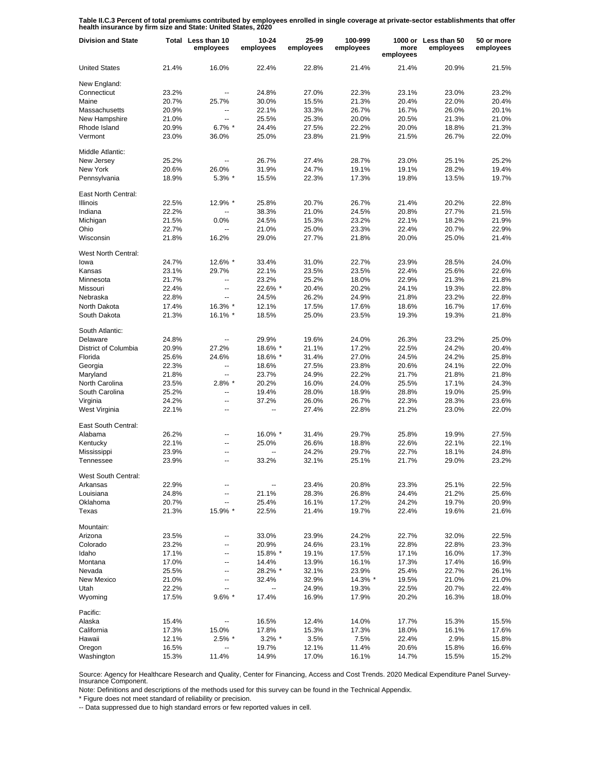**Table II.C.3 Percent of total premiums contributed by employees enrolled in single coverage at private-sector establishments that offer health insurance by firm size and State: United States, 2020**

| <b>Division and State</b> |       | Total Less than 10<br>employees | 10-24<br>employees | 25-99<br>employees | 100-999<br>employees | more<br>employees | 1000 or Less than 50<br>employees | 50 or more<br>employees |
|---------------------------|-------|---------------------------------|--------------------|--------------------|----------------------|-------------------|-----------------------------------|-------------------------|
| <b>United States</b>      | 21.4% | 16.0%                           | 22.4%              | 22.8%              | 21.4%                | 21.4%             | 20.9%                             | 21.5%                   |
| New England:              |       |                                 |                    |                    |                      |                   |                                   |                         |
| Connecticut               | 23.2% |                                 | 24.8%              | 27.0%              | 22.3%                | 23.1%             | 23.0%                             | 23.2%                   |
| Maine                     | 20.7% | 25.7%                           | 30.0%              | 15.5%              | 21.3%                | 20.4%             | 22.0%                             | 20.4%                   |
| Massachusetts             | 20.9% | --                              | 22.1%              | 33.3%              | 26.7%                | 16.7%             | 26.0%                             | 20.1%                   |
| New Hampshire             | 21.0% | --                              | 25.5%              | 25.3%              | 20.0%                | 20.5%             | 21.3%                             | 21.0%                   |
| Rhode Island              | 20.9% | $6.7\%$ *                       | 24.4%              | 27.5%              | 22.2%                | 20.0%             | 18.8%                             | 21.3%                   |
| Vermont                   | 23.0% | 36.0%                           | 25.0%              | 23.8%              | 21.9%                | 21.5%             | 26.7%                             | 22.0%                   |
| Middle Atlantic:          |       |                                 |                    |                    |                      |                   |                                   |                         |
| New Jersey                | 25.2% | $\overline{\phantom{a}}$        | 26.7%              | 27.4%              | 28.7%                | 23.0%             | 25.1%                             | 25.2%                   |
| New York                  | 20.6% | 26.0%                           | 31.9%              | 24.7%              | 19.1%                | 19.1%             | 28.2%                             | 19.4%                   |
| Pennsylvania              | 18.9% | 5.3% *                          | 15.5%              | 22.3%              | 17.3%                | 19.8%             | 13.5%                             | 19.7%                   |
| East North Central:       |       |                                 |                    |                    |                      |                   |                                   |                         |
| Illinois                  | 22.5% | 12.9% *                         | 25.8%              | 20.7%              | 26.7%                | 21.4%             | 20.2%                             | 22.8%                   |
| Indiana                   | 22.2% | Ξ.                              | 38.3%              | 21.0%              | 24.5%                | 20.8%             | 27.7%                             | 21.5%                   |
| Michigan                  | 21.5% | 0.0%                            | 24.5%              | 15.3%              | 23.2%                | 22.1%             | 18.2%                             | 21.9%                   |
| Ohio                      | 22.7% | Ξ.                              | 21.0%              | 25.0%              | 23.3%                | 22.4%             | 20.7%                             | 22.9%                   |
| Wisconsin                 |       |                                 |                    |                    |                      |                   |                                   |                         |
|                           | 21.8% | 16.2%                           | 29.0%              | 27.7%              | 21.8%                | 20.0%             | 25.0%                             | 21.4%                   |
| West North Central:       |       |                                 |                    |                    |                      |                   |                                   |                         |
| lowa                      | 24.7% | 12.6% *                         | 33.4%              | 31.0%              | 22.7%                | 23.9%             | 28.5%                             | 24.0%                   |
| Kansas                    | 23.1% | 29.7%                           | 22.1%              | 23.5%              | 23.5%                | 22.4%             | 25.6%                             | 22.6%                   |
| Minnesota                 | 21.7% | $\overline{\phantom{a}}$        | 23.2%              | 25.2%              | 18.0%                | 22.9%             | 21.3%                             | 21.8%                   |
| Missouri                  | 22.4% | --                              | 22.6% *            | 20.4%              | 20.2%                | 24.1%             | 19.3%                             | 22.8%                   |
| Nebraska                  | 22.8% | --                              | 24.5%              | 26.2%              | 24.9%                | 21.8%             | 23.2%                             | 22.8%                   |
| North Dakota              | 17.4% | 16.3% *                         | 12.1%              | 17.5%              | 17.6%                | 18.6%             | 16.7%                             | 17.6%                   |
| South Dakota              | 21.3% | 16.1% *                         | 18.5%              | 25.0%              | 23.5%                | 19.3%             | 19.3%                             | 21.8%                   |
| South Atlantic:           |       |                                 |                    |                    |                      |                   |                                   |                         |
|                           |       |                                 |                    |                    |                      |                   |                                   |                         |
| Delaware                  | 24.8% |                                 | 29.9%              | 19.6%              | 24.0%                | 26.3%             | 23.2%                             | 25.0%                   |
| District of Columbia      | 20.9% | 27.2%                           | 18.6% *            | 21.1%              | 17.2%                | 22.5%             | 24.2%                             | 20.4%                   |
| Florida                   | 25.6% | 24.6%                           | 18.6% *            | 31.4%              | 27.0%                | 24.5%             | 24.2%                             | 25.8%                   |
| Georgia                   | 22.3% | $\overline{a}$                  | 18.6%              | 27.5%              | 23.8%                | 20.6%             | 24.1%                             | 22.0%                   |
| Maryland                  | 21.8% | $\overline{\phantom{a}}$        | 23.7%              | 24.9%              | 22.2%                | 21.7%             | 21.8%                             | 21.8%                   |
| North Carolina            | 23.5% | $2.8\%$ *                       | 20.2%              | 16.0%              | 24.0%                | 25.5%             | 17.1%                             | 24.3%                   |
| South Carolina            | 25.2% | $\overline{a}$                  | 19.4%              | 28.0%              | 18.9%                | 28.8%             | 19.0%                             | 25.9%                   |
| Virginia                  | 24.2% | $\overline{a}$                  | 37.2%              | 26.0%              | 26.7%                | 22.3%             | 28.3%                             | 23.6%                   |
| West Virginia             | 22.1% | --                              | --                 | 27.4%              | 22.8%                | 21.2%             | 23.0%                             | 22.0%                   |
| East South Central:       |       |                                 |                    |                    |                      |                   |                                   |                         |
| Alabama                   | 26.2% | Ξ.                              | 16.0% *            | 31.4%              | 29.7%                | 25.8%             | 19.9%                             | 27.5%                   |
| Kentucky                  | 22.1% | $\overline{a}$                  | 25.0%              | 26.6%              | 18.8%                | 22.6%             | 22.1%                             | 22.1%                   |
| Mississippi               | 23.9% | $\overline{a}$                  | Ξ.                 | 24.2%              | 29.7%                | 22.7%             | 18.1%                             | 24.8%                   |
| Tennessee                 | 23.9% | $\overline{\phantom{a}}$        | 33.2%              | 32.1%              | 25.1%                | 21.7%             | 29.0%                             | 23.2%                   |
| West South Central:       |       |                                 |                    |                    |                      |                   |                                   |                         |
| Arkansas                  | 22.9% |                                 |                    | 23.4%              | 20.8%                | 23.3%             | 25.1%                             | 22.5%                   |
| Louisiana                 | 24.8% | --                              | 21.1%              | 28.3%              | 26.8%                | 24.4%             | 21.2%                             | 25.6%                   |
| Oklahoma                  | 20.7% | --                              | 25.4%              | 16.1%              | 17.2%                | 24.2%             | 19.7%                             | 20.9%                   |
| Texas                     | 21.3% | 15.9% *                         | 22.5%              | 21.4%              | 19.7%                | 22.4%             | 19.6%                             | 21.6%                   |
| Mountain:                 |       |                                 |                    |                    |                      |                   |                                   |                         |
| Arizona                   | 23.5% | ۰.                              | 33.0%              | 23.9%              | 24.2%                | 22.7%             | 32.0%                             | 22.5%                   |
|                           |       |                                 |                    |                    |                      |                   |                                   |                         |
| Colorado                  | 23.2% | ۰.                              | 20.9%              | 24.6%              | 23.1%                | 22.8%             | 22.8%                             | 23.3%                   |
| Idaho                     | 17.1% | ۰.                              | 15.8% *            | 19.1%              | 17.5%                | 17.1%             | 16.0%                             | 17.3%                   |
| Montana                   | 17.0% | --                              | 14.4%              | 13.9%              | 16.1%                | 17.3%             | 17.4%                             | 16.9%                   |
| Nevada                    | 25.5% | ۰.                              | 28.2% *            | 32.1%              | 23.9%                | 25.4%             | 22.7%                             | 26.1%                   |
| New Mexico                | 21.0% | ۰.                              | 32.4%              | 32.9%              | 14.3% *              | 19.5%             | 21.0%                             | 21.0%                   |
| Utah                      | 22.2% | --                              | --                 | 24.9%              | 19.3%                | 22.5%             | 20.7%                             | 22.4%                   |
| Wyoming                   | 17.5% | $9.6\%$ *                       | 17.4%              | 16.9%              | 17.9%                | 20.2%             | 16.3%                             | 18.0%                   |
| Pacific:                  |       |                                 |                    |                    |                      |                   |                                   |                         |
| Alaska                    | 15.4% | --                              | 16.5%              | 12.4%              | 14.0%                | 17.7%             | 15.3%                             | 15.5%                   |
| California                | 17.3% | 15.0%                           | 17.8%              | 15.3%              | 17.3%                | 18.0%             | 16.1%                             | 17.6%                   |
| Hawaii                    | 12.1% | $2.5\%$ *                       | $3.2\%$ *          | 3.5%               | 7.5%                 | 22.4%             | 2.9%                              | 15.8%                   |
| Oregon                    | 16.5% | --                              | 19.7%              | 12.1%              | 11.4%                | 20.6%             | 15.8%                             | 16.6%                   |
| Washington                | 15.3% | 11.4%                           | 14.9%              | 17.0%              | 16.1%                | 14.7%             | 15.5%                             | 15.2%                   |

Source: Agency for Healthcare Research and Quality, Center for Financing, Access and Cost Trends. 2020 Medical Expenditure Panel Survey-Insurance Component.

Note: Definitions and descriptions of the methods used for this survey can be found in the Technical Appendix.

\* Figure does not meet standard of reliability or precision.

-- Data suppressed due to high standard errors or few reported values in cell.